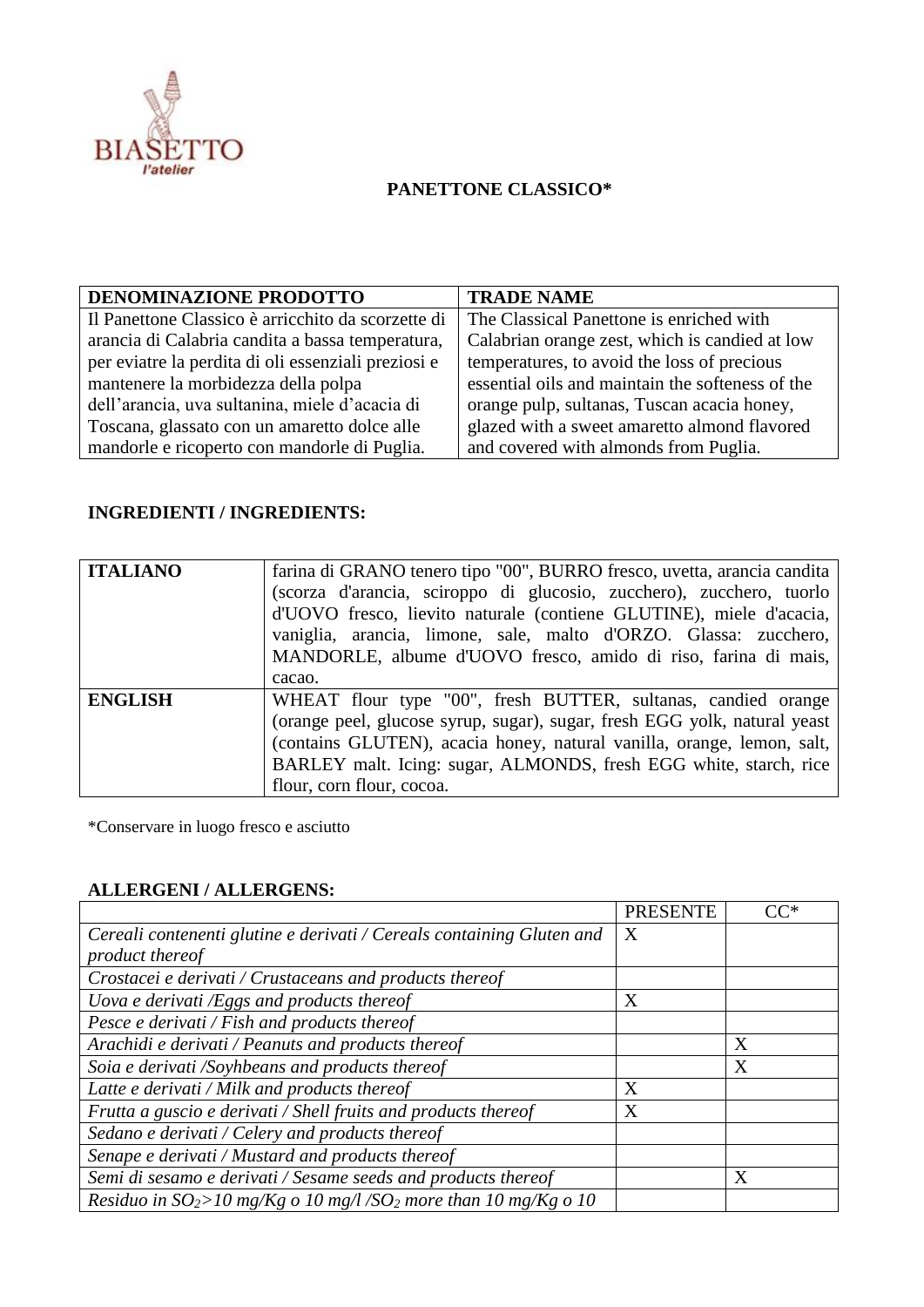

## **PANETTONE CLASSICO\***

| DENOMINAZIONE PRODOTTO                              | <b>TRADE NAME</b>                                |
|-----------------------------------------------------|--------------------------------------------------|
| Il Panettone Classico è arricchito da scorzette di  | The Classical Panettone is enriched with         |
| arancia di Calabria candita a bassa temperatura,    | Calabrian orange zest, which is candied at low   |
| per eviatre la perdita di oli essenziali preziosi e | temperatures, to avoid the loss of precious      |
| mantenere la morbidezza della polpa                 | essential oils and maintain the softeness of the |
| dell'arancia, uva sultanina, miele d'acacia di      | orange pulp, sultanas, Tuscan acacia honey,      |
| Toscana, glassato con un amaretto dolce alle        | glazed with a sweet amaretto almond flavored     |
| mandorle e ricoperto con mandorle di Puglia.        | and covered with almonds from Puglia.            |

## **INGREDIENTI / INGREDIENTS:**

| <b>ITALIANO</b> | farina di GRANO tenero tipo "00", BURRO fresco, uvetta, arancia candita<br>(scorza d'arancia, sciroppo di glucosio, zucchero), zucchero, tuorlo<br>d'UOVO fresco, lievito naturale (contiene GLUTINE), miele d'acacia,<br>vaniglia, arancia, limone, sale, malto d'ORZO. Glassa: zucchero,<br>MANDORLE, albume d'UOVO fresco, amido di riso, farina di mais,<br>cacao. |
|-----------------|------------------------------------------------------------------------------------------------------------------------------------------------------------------------------------------------------------------------------------------------------------------------------------------------------------------------------------------------------------------------|
| <b>ENGLISH</b>  | WHEAT flour type "00", fresh BUTTER, sultanas, candied orange<br>(orange peel, glucose syrup, sugar), sugar, fresh EGG yolk, natural yeast<br>(contains GLUTEN), acacia honey, natural vanilla, orange, lemon, salt,<br>BARLEY malt. Icing: sugar, ALMONDS, fresh EGG white, starch, rice<br>flour, corn flour, cocoa.                                                 |

\*Conservare in luogo fresco e asciutto

## **ALLERGENI / ALLERGENS:**

|                                                                                | <b>PRESENTE</b> | $CC^*$ |
|--------------------------------------------------------------------------------|-----------------|--------|
| Cereali contenenti glutine e derivati / Cereals containing Gluten and          | X               |        |
| product thereof                                                                |                 |        |
| Crostacei e derivati / Crustaceans and products thereof                        |                 |        |
| Uova e derivati /Eggs and products thereof                                     | X               |        |
| Pesce e derivati / Fish and products thereof                                   |                 |        |
| Arachidi e derivati / Peanuts and products thereof                             |                 | X      |
| Soia e derivati /Soyhbeans and products thereof                                |                 | X      |
| Latte e derivati / Milk and products thereof                                   | X               |        |
| Frutta a guscio e derivati / Shell fruits and products thereof                 | X               |        |
| Sedano e derivati / Celery and products thereof                                |                 |        |
| Senape e derivati / Mustard and products thereof                               |                 |        |
| Semi di sesamo e derivati / Sesame seeds and products thereof                  |                 | X      |
| Residuo in $SO_2$ >10 mg/Kg o 10 mg/l /SO <sub>2</sub> more than 10 mg/Kg o 10 |                 |        |